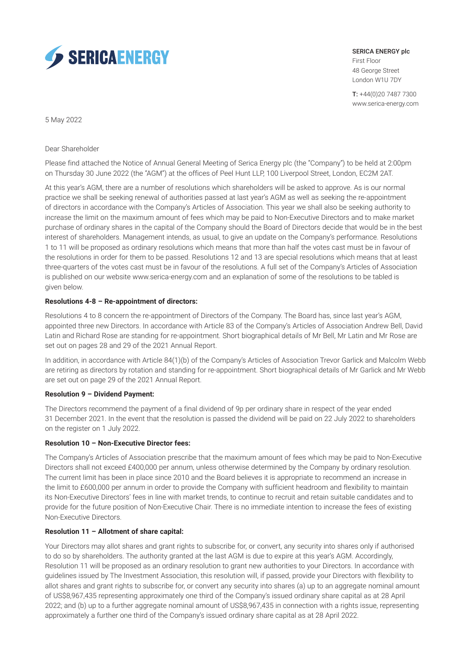

SERICA ENERGY plc First Floor 48 George Street London W1U 7DY

T: +44(0)20 7487 7300 www.serica-energy.com

5 May 2022

Dear Shareholder

Please find attached the Notice of Annual General Meeting of Serica Energy plc (the "Company") to be held at 2:00pm on Thursday 30 June 2022 (the "AGM") at the offices of Peel Hunt LLP, 100 Liverpool Street, London, EC2M 2AT.

At this year's AGM, there are a number of resolutions which shareholders will be asked to approve. As is our normal practice we shall be seeking renewal of authorities passed at last year's AGM as well as seeking the re-appointment of directors in accordance with the Company's Articles of Association. This year we shall also be seeking authority to increase the limit on the maximum amount of fees which may be paid to Non-Executive Directors and to make market purchase of ordinary shares in the capital of the Company should the Board of Directors decide that would be in the best interest of shareholders. Management intends, as usual, to give an update on the Company's performance. Resolutions 1 to 11 will be proposed as ordinary resolutions which means that more than half the votes cast must be in favour of the resolutions in order for them to be passed. Resolutions 12 and 13 are special resolutions which means that at least three-quarters of the votes cast must be in favour of the resolutions. A full set of the Company's Articles of Association is published on our website www.serica-energy.com and an explanation of some of the resolutions to be tabled is given below.

## **Resolutions 4-8 – Re-appointment of directors:**

Resolutions 4 to 8 concern the re-appointment of Directors of the Company. The Board has, since last year's AGM, appointed three new Directors. In accordance with Article 83 of the Company's Articles of Association Andrew Bell, David Latin and Richard Rose are standing for re-appointment. Short biographical details of Mr Bell, Mr Latin and Mr Rose are set out on pages 28 and 29 of the 2021 Annual Report.

In addition, in accordance with Article 84(1)(b) of the Company's Articles of Association Trevor Garlick and Malcolm Webb are retiring as directors by rotation and standing for re-appointment. Short biographical details of Mr Garlick and Mr Webb are set out on page 29 of the 2021 Annual Report.

#### **Resolution 9 – Dividend Payment:**

The Directors recommend the payment of a final dividend of 9p per ordinary share in respect of the year ended 31 December 2021. In the event that the resolution is passed the dividend will be paid on 22 July 2022 to shareholders on the register on 1 July 2022.

#### **Resolution 10 – Non-Executive Director fees:**

The Company's Articles of Association prescribe that the maximum amount of fees which may be paid to Non-Executive Directors shall not exceed £400,000 per annum, unless otherwise determined by the Company by ordinary resolution. The current limit has been in place since 2010 and the Board believes it is appropriate to recommend an increase in the limit to £600,000 per annum in order to provide the Company with sufficient headroom and flexibility to maintain its Non-Executive Directors' fees in line with market trends, to continue to recruit and retain suitable candidates and to provide for the future position of Non-Executive Chair. There is no immediate intention to increase the fees of existing Non-Executive Directors.

#### **Resolution 11 – Allotment of share capital:**

Your Directors may allot shares and grant rights to subscribe for, or convert, any security into shares only if authorised to do so by shareholders. The authority granted at the last AGM is due to expire at this year's AGM. Accordingly, Resolution 11 will be proposed as an ordinary resolution to grant new authorities to your Directors. In accordance with guidelines issued by The Investment Association, this resolution will, if passed, provide your Directors with flexibility to allot shares and grant rights to subscribe for, or convert any security into shares (a) up to an aggregate nominal amount of US\$8,967,435 representing approximately one third of the Company's issued ordinary share capital as at 28 April 2022; and (b) up to a further aggregate nominal amount of US\$8,967,435 in connection with a rights issue, representing approximately a further one third of the Company's issued ordinary share capital as at 28 April 2022.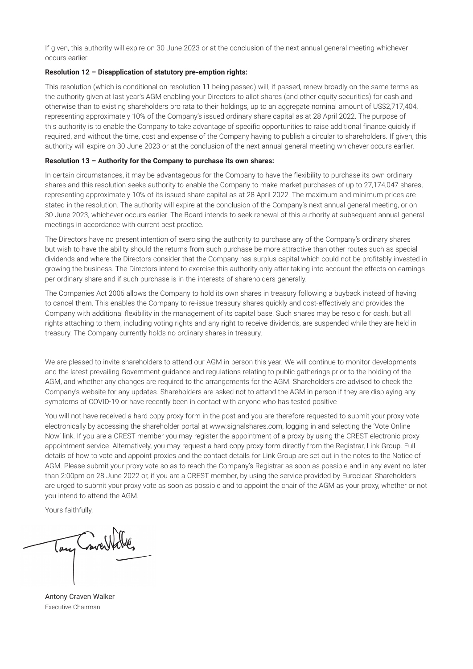If given, this authority will expire on 30 June 2023 or at the conclusion of the next annual general meeting whichever occurs earlier.

## **Resolution 12 – Disapplication of statutory pre-emption rights:**

This resolution (which is conditional on resolution 11 being passed) will, if passed, renew broadly on the same terms as the authority given at last year's AGM enabling your Directors to allot shares (and other equity securities) for cash and otherwise than to existing shareholders pro rata to their holdings, up to an aggregate nominal amount of US\$2,717,404, representing approximately 10% of the Company's issued ordinary share capital as at 28 April 2022. The purpose of this authority is to enable the Company to take advantage of specific opportunities to raise additional finance quickly if required, and without the time, cost and expense of the Company having to publish a circular to shareholders. If given, this authority will expire on 30 June 2023 or at the conclusion of the next annual general meeting whichever occurs earlier.

## **Resolution 13 – Authority for the Company to purchase its own shares:**

In certain circumstances, it may be advantageous for the Company to have the flexibility to purchase its own ordinary shares and this resolution seeks authority to enable the Company to make market purchases of up to 27,174,047 shares, representing approximately 10% of its issued share capital as at 28 April 2022. The maximum and minimum prices are stated in the resolution. The authority will expire at the conclusion of the Company's next annual general meeting, or on 30 June 2023, whichever occurs earlier. The Board intends to seek renewal of this authority at subsequent annual general meetings in accordance with current best practice.

The Directors have no present intention of exercising the authority to purchase any of the Company's ordinary shares but wish to have the ability should the returns from such purchase be more attractive than other routes such as special dividends and where the Directors consider that the Company has surplus capital which could not be profitably invested in growing the business. The Directors intend to exercise this authority only after taking into account the effects on earnings per ordinary share and if such purchase is in the interests of shareholders generally.

The Companies Act 2006 allows the Company to hold its own shares in treasury following a buyback instead of having to cancel them. This enables the Company to re-issue treasury shares quickly and cost-effectively and provides the Company with additional flexibility in the management of its capital base. Such shares may be resold for cash, but all rights attaching to them, including voting rights and any right to receive dividends, are suspended while they are held in treasury. The Company currently holds no ordinary shares in treasury.

We are pleased to invite shareholders to attend our AGM in person this year. We will continue to monitor developments and the latest prevailing Government guidance and regulations relating to public gatherings prior to the holding of the AGM, and whether any changes are required to the arrangements for the AGM. Shareholders are advised to check the Company's website for any updates. Shareholders are asked not to attend the AGM in person if they are displaying any symptoms of COVID-19 or have recently been in contact with anyone who has tested positive

You will not have received a hard copy proxy form in the post and you are therefore requested to submit your proxy vote electronically by accessing the shareholder portal at www.signalshares.com, logging in and selecting the 'Vote Online Now' link. If you are a CREST member you may register the appointment of a proxy by using the CREST electronic proxy appointment service. Alternatively, you may request a hard copy proxy form directly from the Registrar, Link Group. Full details of how to vote and appoint proxies and the contact details for Link Group are set out in the notes to the Notice of AGM. Please submit your proxy vote so as to reach the Company's Registrar as soon as possible and in any event no later than 2:00pm on 28 June 2022 or, if you are a CREST member, by using the service provided by Euroclear. Shareholders are urged to submit your proxy vote as soon as possible and to appoint the chair of the AGM as your proxy, whether or not you intend to attend the AGM.

Yours faithfully,

Tay Correllate

Antony Craven Walker Executive Chairman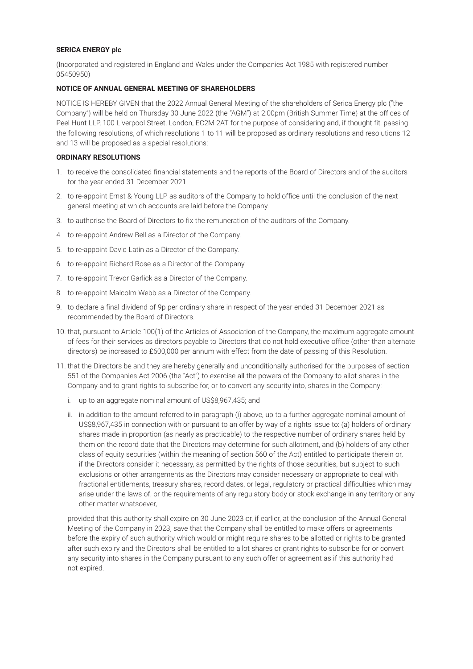#### **SERICA ENERGY plc**

(Incorporated and registered in England and Wales under the Companies Act 1985 with registered number 05450950)

## **NOTICE OF ANNUAL GENERAL MEETING OF SHAREHOLDERS**

NOTICE IS HEREBY GIVEN that the 2022 Annual General Meeting of the shareholders of Serica Energy plc ("the Company") will be held on Thursday 30 June 2022 (the "AGM") at 2:00pm (British Summer Time) at the offices of Peel Hunt LLP, 100 Liverpool Street, London, EC2M 2AT for the purpose of considering and, if thought fit, passing the following resolutions, of which resolutions 1 to 11 will be proposed as ordinary resolutions and resolutions 12 and 13 will be proposed as a special resolutions:

### **ORDINARY RESOLUTIONS**

- 1. to receive the consolidated financial statements and the reports of the Board of Directors and of the auditors for the year ended 31 December 2021.
- 2. to re-appoint Ernst & Young LLP as auditors of the Company to hold office until the conclusion of the next general meeting at which accounts are laid before the Company.
- 3. to authorise the Board of Directors to fix the remuneration of the auditors of the Company.
- 4. to re-appoint Andrew Bell as a Director of the Company.
- 5. to re-appoint David Latin as a Director of the Company.
- 6. to re-appoint Richard Rose as a Director of the Company.
- 7. to re-appoint Trevor Garlick as a Director of the Company.
- 8. to re-appoint Malcolm Webb as a Director of the Company.
- 9. to declare a final dividend of 9p per ordinary share in respect of the year ended 31 December 2021 as recommended by the Board of Directors.
- 10. that, pursuant to Article 100(1) of the Articles of Association of the Company, the maximum aggregate amount of fees for their services as directors payable to Directors that do not hold executive office (other than alternate directors) be increased to £600,000 per annum with effect from the date of passing of this Resolution.
- 11. that the Directors be and they are hereby generally and unconditionally authorised for the purposes of section 551 of the Companies Act 2006 (the "Act") to exercise all the powers of the Company to allot shares in the Company and to grant rights to subscribe for, or to convert any security into, shares in the Company:
	- i. up to an aggregate nominal amount of US\$8,967,435; and
	- ii. in addition to the amount referred to in paragraph (i) above, up to a further aggregate nominal amount of US\$8,967,435 in connection with or pursuant to an offer by way of a rights issue to: (a) holders of ordinary shares made in proportion (as nearly as practicable) to the respective number of ordinary shares held by them on the record date that the Directors may determine for such allotment, and (b) holders of any other class of equity securities (within the meaning of section 560 of the Act) entitled to participate therein or, if the Directors consider it necessary, as permitted by the rights of those securities, but subject to such exclusions or other arrangements as the Directors may consider necessary or appropriate to deal with fractional entitlements, treasury shares, record dates, or legal, regulatory or practical difficulties which may arise under the laws of, or the requirements of any regulatory body or stock exchange in any territory or any other matter whatsoever,

 provided that this authority shall expire on 30 June 2023 or, if earlier, at the conclusion of the Annual General Meeting of the Company in 2023, save that the Company shall be entitled to make offers or agreements before the expiry of such authority which would or might require shares to be allotted or rights to be granted after such expiry and the Directors shall be entitled to allot shares or grant rights to subscribe for or convert any security into shares in the Company pursuant to any such offer or agreement as if this authority had not expired.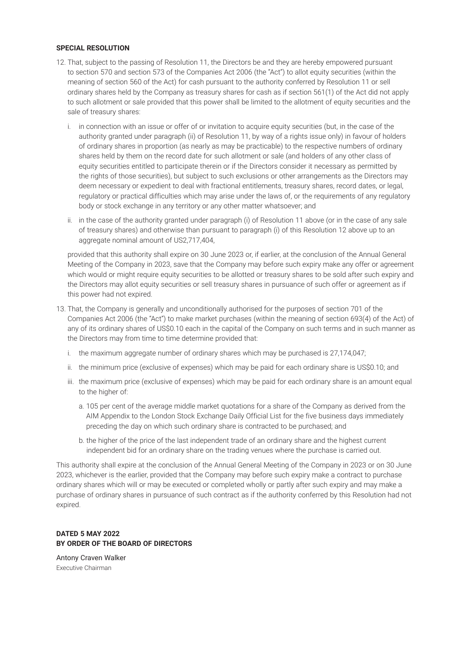## **SPECIAL RESOLUTION**

- 12. That, subject to the passing of Resolution 11, the Directors be and they are hereby empowered pursuant to section 570 and section 573 of the Companies Act 2006 (the "Act") to allot equity securities (within the meaning of section 560 of the Act) for cash pursuant to the authority conferred by Resolution 11 or sell ordinary shares held by the Company as treasury shares for cash as if section 561(1) of the Act did not apply to such allotment or sale provided that this power shall be limited to the allotment of equity securities and the sale of treasury shares:
	- i. in connection with an issue or offer of or invitation to acquire equity securities (but, in the case of the authority granted under paragraph (ii) of Resolution 11, by way of a rights issue only) in favour of holders of ordinary shares in proportion (as nearly as may be practicable) to the respective numbers of ordinary shares held by them on the record date for such allotment or sale (and holders of any other class of equity securities entitled to participate therein or if the Directors consider it necessary as permitted by the rights of those securities), but subject to such exclusions or other arrangements as the Directors may deem necessary or expedient to deal with fractional entitlements, treasury shares, record dates, or legal, regulatory or practical difficulties which may arise under the laws of, or the requirements of any regulatory body or stock exchange in any territory or any other matter whatsoever; and
	- ii. in the case of the authority granted under paragraph (i) of Resolution 11 above (or in the case of any sale of treasury shares) and otherwise than pursuant to paragraph (i) of this Resolution 12 above up to an aggregate nominal amount of US2,717,404.

 provided that this authority shall expire on 30 June 2023 or, if earlier, at the conclusion of the Annual General Meeting of the Company in 2023, save that the Company may before such expiry make any offer or agreement which would or might require equity securities to be allotted or treasury shares to be sold after such expiry and the Directors may allot equity securities or sell treasury shares in pursuance of such offer or agreement as if this power had not expired.

- 13. That, the Company is generally and unconditionally authorised for the purposes of section 701 of the Companies Act 2006 (the "Act") to make market purchases (within the meaning of section 693(4) of the Act) of any of its ordinary shares of US\$0.10 each in the capital of the Company on such terms and in such manner as the Directors may from time to time determine provided that:
	- i. the maximum aggregate number of ordinary shares which may be purchased is 27,174,047;
	- ii. the minimum price (exclusive of expenses) which may be paid for each ordinary share is US\$0.10; and
	- iii. the maximum price (exclusive of expenses) which may be paid for each ordinary share is an amount equal to the higher of:
		- a. 105 per cent of the average middle market quotations for a share of the Company as derived from the AIM Appendix to the London Stock Exchange Daily Official List for the five business days immediately preceding the day on which such ordinary share is contracted to be purchased; and
		- b. the higher of the price of the last independent trade of an ordinary share and the highest current independent bid for an ordinary share on the trading venues where the purchase is carried out.

This authority shall expire at the conclusion of the Annual General Meeting of the Company in 2023 or on 30 June 2023, whichever is the earlier, provided that the Company may before such expiry make a contract to purchase ordinary shares which will or may be executed or completed wholly or partly after such expiry and may make a purchase of ordinary shares in pursuance of such contract as if the authority conferred by this Resolution had not expired.

# **DATED 5 MAY 2022 BY ORDER OF THE BOARD OF DIRECTORS**

Antony Craven Walker Executive Chairman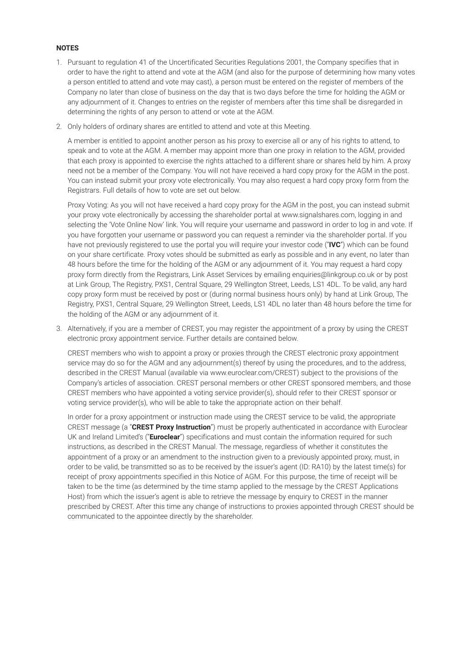# **NOTES**

- 1. Pursuant to regulation 41 of the Uncertificated Securities Regulations 2001, the Company specifies that in order to have the right to attend and vote at the AGM (and also for the purpose of determining how many votes a person entitled to attend and vote may cast), a person must be entered on the register of members of the Company no later than close of business on the day that is two days before the time for holding the AGM or any adjournment of it. Changes to entries on the register of members after this time shall be disregarded in determining the rights of any person to attend or vote at the AGM.
- 2. Only holders of ordinary shares are entitled to attend and vote at this Meeting.

 A member is entitled to appoint another person as his proxy to exercise all or any of his rights to attend, to speak and to vote at the AGM. A member may appoint more than one proxy in relation to the AGM, provided that each proxy is appointed to exercise the rights attached to a different share or shares held by him. A proxy need not be a member of the Company. You will not have received a hard copy proxy for the AGM in the post. You can instead submit your proxy vote electronically. You may also request a hard copy proxy form from the Registrars. Full details of how to vote are set out below.

 Proxy Voting: As you will not have received a hard copy proxy for the AGM in the post, you can instead submit your proxy vote electronically by accessing the shareholder portal at www.signalshares.com, logging in and selecting the 'Vote Online Now' link. You will require your username and password in order to log in and vote. If you have forgotten your username or password you can request a reminder via the shareholder portal. If you have not previously registered to use the portal you will require your investor code ("**IVC**") which can be found on your share certificate. Proxy votes should be submitted as early as possible and in any event, no later than 48 hours before the time for the holding of the AGM or any adjournment of it. You may request a hard copy proxy form directly from the Registrars, Link Asset Services by emailing enquiries@linkgroup.co.uk or by post at Link Group, The Registry, PXS1, Central Square, 29 Wellington Street, Leeds, LS1 4DL. To be valid, any hard copy proxy form must be received by post or (during normal business hours only) by hand at Link Group, The Registry, PXS1, Central Square, 29 Wellington Street, Leeds, LS1 4DL no later than 48 hours before the time for the holding of the AGM or any adjournment of it.

3. Alternatively, if you are a member of CREST, you may register the appointment of a proxy by using the CREST electronic proxy appointment service. Further details are contained below.

 CREST members who wish to appoint a proxy or proxies through the CREST electronic proxy appointment service may do so for the AGM and any adjournment(s) thereof by using the procedures, and to the address, described in the CREST Manual (available via www.euroclear.com/CREST) subject to the provisions of the Company's articles of association. CREST personal members or other CREST sponsored members, and those CREST members who have appointed a voting service provider(s), should refer to their CREST sponsor or voting service provider(s), who will be able to take the appropriate action on their behalf.

 In order for a proxy appointment or instruction made using the CREST service to be valid, the appropriate CREST message (a "**CREST Proxy Instruction**") must be properly authenticated in accordance with Euroclear UK and Ireland Limited's ("**Euroclear**") specifications and must contain the information required for such instructions, as described in the CREST Manual. The message, regardless of whether it constitutes the appointment of a proxy or an amendment to the instruction given to a previously appointed proxy, must, in order to be valid, be transmitted so as to be received by the issuer's agent (ID: RA10) by the latest time(s) for receipt of proxy appointments specified in this Notice of AGM. For this purpose, the time of receipt will be taken to be the time (as determined by the time stamp applied to the message by the CREST Applications Host) from which the issuer's agent is able to retrieve the message by enquiry to CREST in the manner prescribed by CREST. After this time any change of instructions to proxies appointed through CREST should be communicated to the appointee directly by the shareholder.